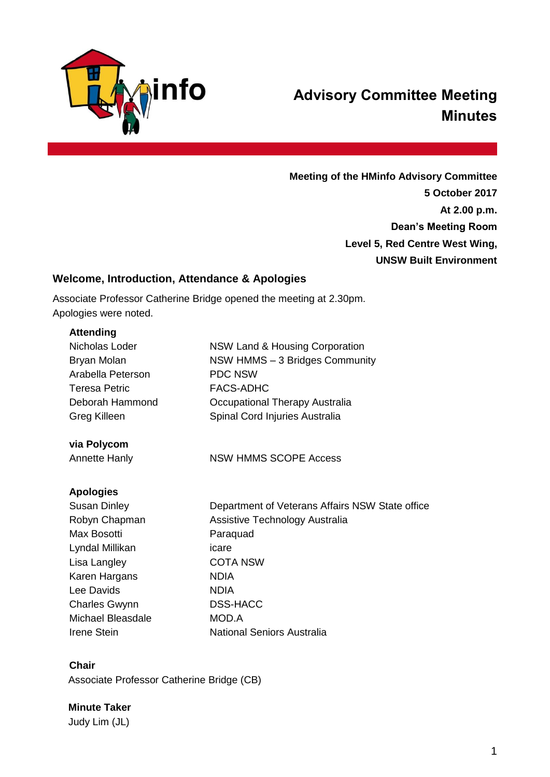

# **Advisory Committee Meeting Minutes**

**Meeting of the HMinfo Advisory Committee 5 October 2017 At 2.00 p.m. Dean's Meeting Room Level 5, Red Centre West Wing, UNSW Built Environment**

# **Welcome, Introduction, Attendance & Apologies**

Associate Professor Catherine Bridge opened the meeting at 2.30pm. Apologies were noted.

#### **Attending**

| Nicholas Loder<br>Bryan Molan<br>Arabella Peterson<br><b>Teresa Petric</b><br>Deborah Hammond<br>Greg Killeen | <b>NSW Land &amp; Housing Corporation</b><br>NSW HMMS - 3 Bridges Community<br><b>PDC NSW</b><br><b>FACS-ADHC</b><br>Occupational Therapy Australia<br>Spinal Cord Injuries Australia |
|---------------------------------------------------------------------------------------------------------------|---------------------------------------------------------------------------------------------------------------------------------------------------------------------------------------|
|                                                                                                               |                                                                                                                                                                                       |
| via Polycom                                                                                                   |                                                                                                                                                                                       |
| <b>Annette Hanly</b>                                                                                          | <b>NSW HMMS SCOPE Access</b>                                                                                                                                                          |
| <b>Apologies</b>                                                                                              |                                                                                                                                                                                       |
| <b>Susan Dinley</b>                                                                                           | Department of Veterans Affairs NSW State office                                                                                                                                       |
| Robyn Chapman                                                                                                 | Assistive Technology Australia                                                                                                                                                        |
| Max Bosotti                                                                                                   | Paraquad                                                                                                                                                                              |
| Lyndal Millikan                                                                                               | icare                                                                                                                                                                                 |
| Lisa Langley                                                                                                  | <b>COTA NSW</b>                                                                                                                                                                       |
| Karen Hargans                                                                                                 | <b>NDIA</b>                                                                                                                                                                           |
| Lee Davids                                                                                                    | <b>NDIA</b>                                                                                                                                                                           |
| <b>Charles Gwynn</b>                                                                                          | <b>DSS-HACC</b>                                                                                                                                                                       |
| <b>Michael Bleasdale</b>                                                                                      | MOD.A                                                                                                                                                                                 |
| <b>Irene Stein</b>                                                                                            | <b>National Seniors Australia</b>                                                                                                                                                     |
|                                                                                                               |                                                                                                                                                                                       |

#### **Chair**

Associate Professor Catherine Bridge (CB)

#### **Minute Taker**

Judy Lim (JL)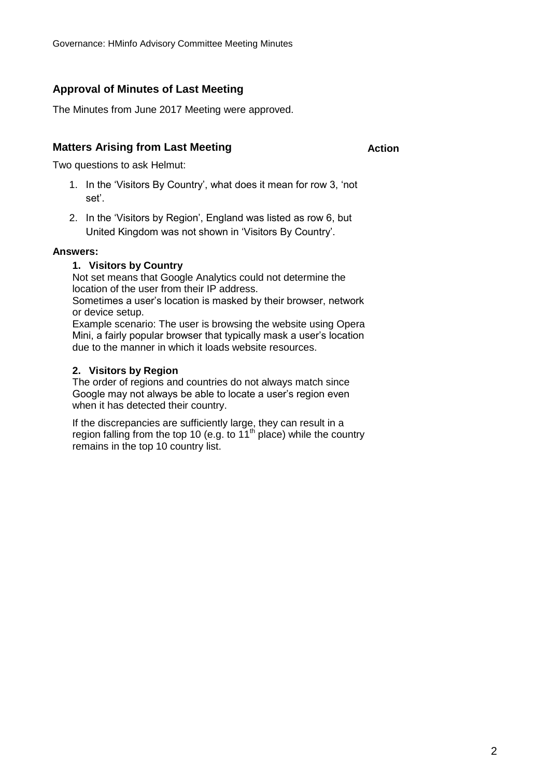# **Approval of Minutes of Last Meeting**

The Minutes from June 2017 Meeting were approved.

# **Matters Arising from Last Meeting**

**Action**

Two questions to ask Helmut:

- 1. In the 'Visitors By Country', what does it mean for row 3, 'not set'.
- 2. In the 'Visitors by Region', England was listed as row 6, but United Kingdom was not shown in 'Visitors By Country'.

#### **Answers:**

#### **1. Visitors by Country**

Not set means that Google Analytics could not determine the location of the user from their IP address.

Sometimes a user's location is masked by their browser, network or device setup.

Example scenario: The user is browsing the website using Opera Mini, a fairly popular browser that typically mask a user's location due to the manner in which it loads website resources.

#### **2. Visitors by Region**

The order of regions and countries do not always match since Google may not always be able to locate a user's region even when it has detected their country.

If the discrepancies are sufficiently large, they can result in a region falling from the top 10 (e.g. to  $11<sup>th</sup>$  place) while the country remains in the top 10 country list.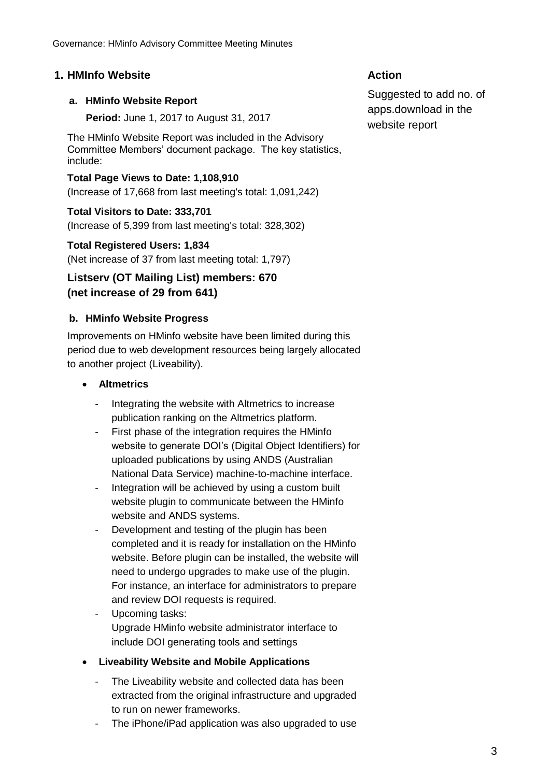# **1. HMInfo Website Action**

#### **a. HMinfo Website Report**

**Period:** June 1, 2017 to August 31, 2017

The HMinfo Website Report was included in the Advisory Committee Members' document package. The key statistics, include:

**Total Page Views to Date: 1,108,910** (Increase of 17,668 from last meeting's total: 1,091,242)

**Total Visitors to Date: 333,701** (Increase of 5,399 from last meeting's total: 328,302)

#### **Total Registered Users: 1,834**

(Net increase of 37 from last meeting total: 1,797)

# **Listserv (OT Mailing List) members: 670 (net increase of 29 from 641)**

# **b. HMinfo Website Progress**

Improvements on HMinfo website have been limited during this period due to web development resources being largely allocated to another project (Liveability).

### **Altmetrics**

- Integrating the website with Altmetrics to increase publication ranking on the Altmetrics platform.
- First phase of the integration requires the HMinfo website to generate DOI's (Digital Object Identifiers) for uploaded publications by using ANDS (Australian National Data Service) machine-to-machine interface.
- Integration will be achieved by using a custom built website plugin to communicate between the HMinfo website and ANDS systems.
- Development and testing of the plugin has been completed and it is ready for installation on the HMinfo website. Before plugin can be installed, the website will need to undergo upgrades to make use of the plugin. For instance, an interface for administrators to prepare and review DOI requests is required.
- Upcoming tasks: Upgrade HMinfo website administrator interface to include DOI generating tools and settings

#### **Liveability Website and Mobile Applications**

- The Liveability website and collected data has been extracted from the original infrastructure and upgraded to run on newer frameworks.
- The iPhone/iPad application was also upgraded to use

Suggested to add no. of apps.download in the website report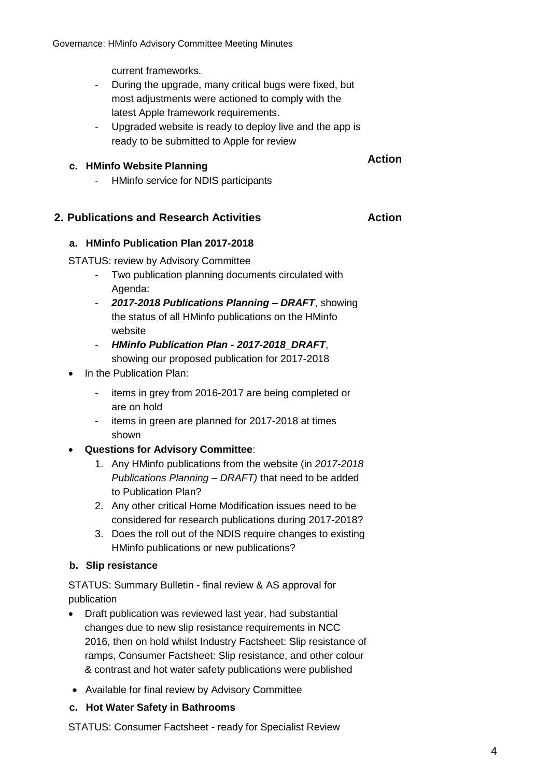current frameworks.

- During the upgrade, many critical bugs were fixed, but most adjustments were actioned to comply with the latest Apple framework requirements.
- Upgraded website is ready to deploy live and the app is ready to be submitted to Apple for review

# **c. HMinfo Website Planning**

# **Action**

- HMinfo service for NDIS participants

# **2. Publications and Research Activities Action**

#### **a. HMinfo Publication Plan 2017-2018**

STATUS: review by Advisory Committee

- Two publication planning documents circulated with Agenda:
- *2017-2018 Publications Planning – DRAFT*, showing the status of all HMinfo publications on the HMinfo website
- *HMinfo Publication Plan - 2017-2018\_DRAFT*, showing our proposed publication for 2017-2018
- In the Publication Plan:
	- items in grey from 2016-2017 are being completed or are on hold
	- items in green are planned for 2017-2018 at times shown
- **Questions for Advisory Committee**:
	- 1. Any HMinfo publications from the website (in *2017-2018 Publications Planning – DRAFT)* that need to be added to Publication Plan?
	- 2. Any other critical Home Modification issues need to be considered for research publications during 2017-2018?
	- 3. Does the roll out of the NDIS require changes to existing HMinfo publications or new publications?

#### **b. Slip resistance**

STATUS: Summary Bulletin - final review & AS approval for publication

- Draft publication was reviewed last year, had substantial changes due to new slip resistance requirements in NCC 2016, then on hold whilst Industry Factsheet: Slip resistance of ramps, Consumer Factsheet: Slip resistance, and other colour & contrast and hot water safety publications were published
- Available for final review by Advisory Committee

#### **c. Hot Water Safety in Bathrooms**

STATUS: Consumer Factsheet - ready for Specialist Review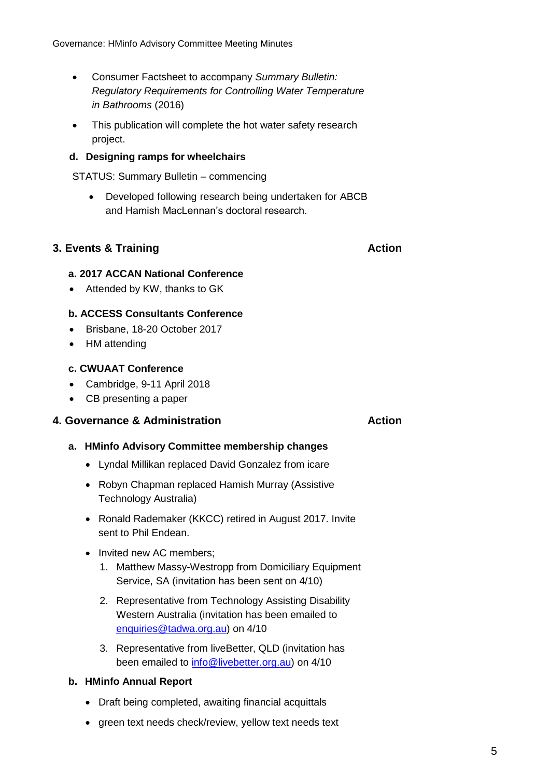- Consumer Factsheet to accompany *Summary Bulletin: Regulatory Requirements for Controlling Water Temperature in Bathrooms* (2016)
- This publication will complete the hot water safety research project.

#### **d. Designing ramps for wheelchairs**

STATUS: Summary Bulletin – commencing

 Developed following research being undertaken for ABCB and Hamish MacLennan's doctoral research.

# **3. Events & Training Action Action**

#### **a. 2017 ACCAN National Conference**

• Attended by KW, thanks to GK

#### **b. ACCESS Consultants Conference**

- Brisbane, 18-20 October 2017
- HM attending

#### **c. CWUAAT Conference**

- Cambridge, 9-11 April 2018
- CB presenting a paper

### **4. Governance & Administration Action**

#### **a. HMinfo Advisory Committee membership changes**

- Lyndal Millikan replaced David Gonzalez from icare
- Robyn Chapman replaced Hamish Murray (Assistive Technology Australia)
- Ronald Rademaker (KKCC) retired in August 2017. Invite sent to Phil Endean.
- Invited new AC members;
	- 1. Matthew Massy-Westropp from Domiciliary Equipment Service, SA (invitation has been sent on 4/10)
	- 2. Representative from Technology Assisting Disability Western Australia (invitation has been emailed to [enquiries@tadwa.org.au\)](file://///ad.unsw.edu.au/OneUNSW/FBE/Enabling%20Environments/Home%20Modifications/Governance/HMinfo%20Advisory%20Committee/Meetings/Mtg_2017/Mtg_2017_September_October/Directors%20Report/enquiries@tadwa.org.au) on 4/10
	- 3. Representative from liveBetter, QLD (invitation has been emailed to [info@livebetter.org.au\)](mailto:info@livebetter.org.au) on 4/10

#### **b. HMinfo Annual Report**

- Draft being completed, awaiting financial acquittals
- green text needs check/review, yellow text needs text